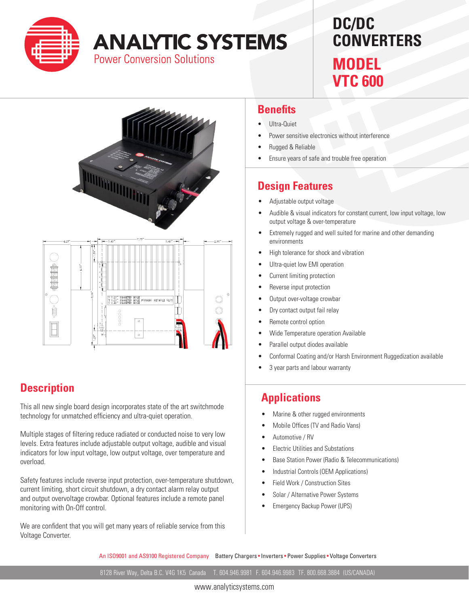

# **ANALYTIC SYSTEMS**

**Power Conversion Solutions** 

## **DC/DC CONVERTERS MODEL**

**VTC 600**



#### **Description**

This all new single board design incorporates state of the art switchmode technology for unmatched efficiency and ultra-quiet operation.

Multiple stages of filtering reduce radiated or conducted noise to very low levels. Extra features include adjustable output voltage, audible and visual indicators for low input voltage, low output voltage, over temperature and overload.

Safety features include reverse input protection, over-temperature shutdown, current limiting, short circuit shutdown, a dry contact alarm relay output and output overvoltage crowbar. Optional features include a remote panel monitoring with On-Off control.

We are confident that you will get many years of reliable service from this Voltage Converter.

#### **Benefits**

- Ultra-Quiet
- Power sensitive electronics without interference
- **Rugged & Reliable**
- Ensure years of safe and trouble free operation

### **Design Features**

- Adjustable output voltage
- Audible & visual indicators for constant current, low input voltage, low output voltage & over-temperature
- Extremely rugged and well suited for marine and other demanding environments
- High tolerance for shock and vibration
- Ultra-quiet low EMI operation
- Current limiting protection
- Reverse input protection
- Output over-voltage crowbar
- Dry contact output fail relay
- Remote control option
- Wide Temperature operation Available
- Parallel output diodes available
- Conformal Coating and/or Harsh Environment Ruggedization available
- 3 year parts and labour warranty

#### **Applications**

- Marine & other rugged environments
- Mobile Offices (TV and Radio Vans)
- Automotive / RV
- • Electric Utilities and Substations
- Base Station Power (Radio & Telecommunications)
- Industrial Controls (OEM Applications)
- Field Work / Construction Sites
- Solar / Alternative Power Systems
- **Emergency Backup Power (UPS)**

An ISO9001 and AS9100 Registered Company Battery Chargers • Inverters • Power Supplies • Voltage Converters